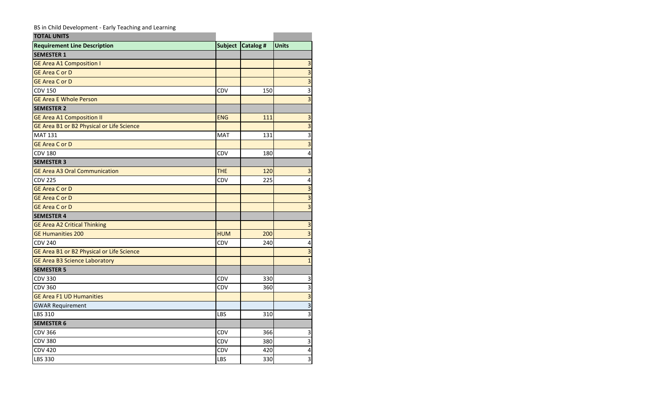## BS in Child Development - Early Teaching and Learning

| <b>TOTAL UNITS</b>                        |                |           |                         |
|-------------------------------------------|----------------|-----------|-------------------------|
| <b>Requirement Line Description</b>       | <b>Subject</b> | Catalog # | <b>Units</b>            |
| <b>SEMESTER 1</b>                         |                |           |                         |
| <b>GE Area A1 Composition I</b>           |                |           | 3                       |
| <b>GE Area C or D</b>                     |                |           | $\overline{3}$          |
| <b>GE Area C or D</b>                     |                |           | $\overline{\mathbf{3}}$ |
| <b>CDV 150</b>                            | CDV            | 150       | $\overline{\mathbf{3}}$ |
| <b>GE Area E Whole Person</b>             |                |           | $\overline{\mathbf{3}}$ |
| <b>SEMESTER 2</b>                         |                |           |                         |
| <b>GE Area A1 Composition II</b>          | <b>ENG</b>     | 111       | 3                       |
| GE Area B1 or B2 Physical or Life Science |                |           | $\overline{\mathbf{3}}$ |
| <b>MAT 131</b>                            | <b>MAT</b>     | 131       | 3                       |
| <b>GE Area C or D</b>                     |                |           | $\overline{\mathbf{3}}$ |
| <b>CDV 180</b>                            | CDV            | 180       | 4                       |
| <b>SEMESTER 3</b>                         |                |           |                         |
| <b>GE Area A3 Oral Communication</b>      | <b>THE</b>     | 120       | $\overline{\mathbf{3}}$ |
| <b>CDV 225</b>                            | CDV            | 225       | $\overline{\mathbf{4}}$ |
| <b>GE Area C or D</b>                     |                |           | $\overline{\mathbf{3}}$ |
| <b>GE Area C or D</b>                     |                |           | $\overline{3}$          |
| <b>GE Area C or D</b>                     |                |           | $\overline{3}$          |
| <b>SEMESTER 4</b>                         |                |           |                         |
| <b>GE Area A2 Critical Thinking</b>       |                |           | $\mathsf 3$             |
| <b>GE Humanities 200</b>                  | <b>HUM</b>     | 200       | $\overline{\mathbf{3}}$ |
| <b>CDV 240</b>                            | CDV            | 240       | $\overline{\mathbf{4}}$ |
| GE Area B1 or B2 Physical or Life Science |                |           | $\overline{\mathbf{3}}$ |
| <b>GE Area B3 Science Laboratory</b>      |                |           | $\overline{1}$          |
| <b>SEMESTER 5</b>                         |                |           |                         |
| <b>CDV 330</b>                            | CDV            | 330       | $\mathsf 3$             |
| <b>CDV 360</b>                            | CDV            | 360       | $\overline{\mathbf{3}}$ |
| <b>GE Area F1 UD Humanities</b>           |                |           | $\overline{\mathbf{3}}$ |
| <b>GWAR Requirement</b>                   |                |           | $\overline{3}$          |
| LBS 310                                   | LBS            | 310       | $\overline{\mathbf{3}}$ |
| <b>SEMESTER 6</b>                         |                |           |                         |
| <b>CDV 366</b>                            | CDV            | 366       | $\mathsf 3$             |
| <b>CDV 380</b>                            | <b>CDV</b>     | 380       | $\overline{\mathbf{3}}$ |
| <b>CDV 420</b>                            | CDV            | 420       | 4                       |
| LBS 330                                   | LBS            | 330       | $\overline{\mathbf{3}}$ |